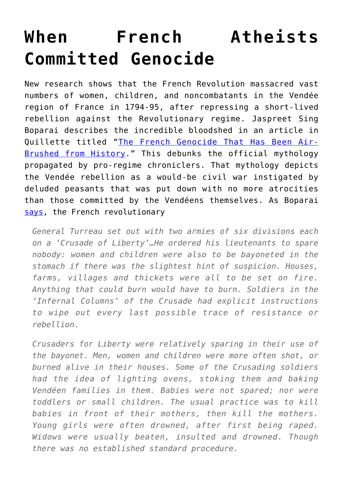## **[When French Atheists](https://intellectualtakeout.org/2019/03/when-french-atheists-committed-genocide/) [Committed Genocide](https://intellectualtakeout.org/2019/03/when-french-atheists-committed-genocide/)**

New research shows that the French Revolution massacred vast numbers of women, children, and noncombatants in the Vendée region of France in 1794-95, after repressing a short-lived rebellion against the Revolutionary regime. Jaspreet Sing Boparai describes the incredible bloodshed in an article in Quillette titled "[The French Genocide That Has Been Air-](https://quillette.com/2019/03/10/the-french-genocide-that-has-been-air-brushed-from-history/)[Brushed from History.](https://quillette.com/2019/03/10/the-french-genocide-that-has-been-air-brushed-from-history/)" This debunks the official mythology propagated by pro-regime chroniclers. That mythology depicts the Vendée rebellion as a would-be civil war instigated by deluded peasants that was put down with no more atrocities than those committed by the Vendéens themselves. As Boparai [says](https://quillette.com/2019/03/10/the-french-genocide-that-has-been-air-brushed-from-history/), the French revolutionary

*General Turreau set out with two armies of six divisions each on a 'Crusade of Liberty'…He ordered his lieutenants to spare nobody: women and children were also to be bayoneted in the stomach if there was the slightest hint of suspicion. Houses, farms, villages and thickets were all to be set on fire. Anything that could burn would have to burn. Soldiers in the 'Infernal Columns' of the Crusade had explicit instructions to wipe out every last possible trace of resistance or rebellion.*

*Crusaders for Liberty were relatively sparing in their use of the bayonet. Men, women and children were more often shot, or burned alive in their houses. Some of the Crusading soldiers had the idea of lighting ovens, stoking them and baking Vendéen families in them. Babies were not spared; nor were toddlers or small children. The usual practice was to kill babies in front of their mothers, then kill the mothers. Young girls were often drowned, after first being raped. Widows were usually beaten, insulted and drowned. Though there was no established standard procedure.*